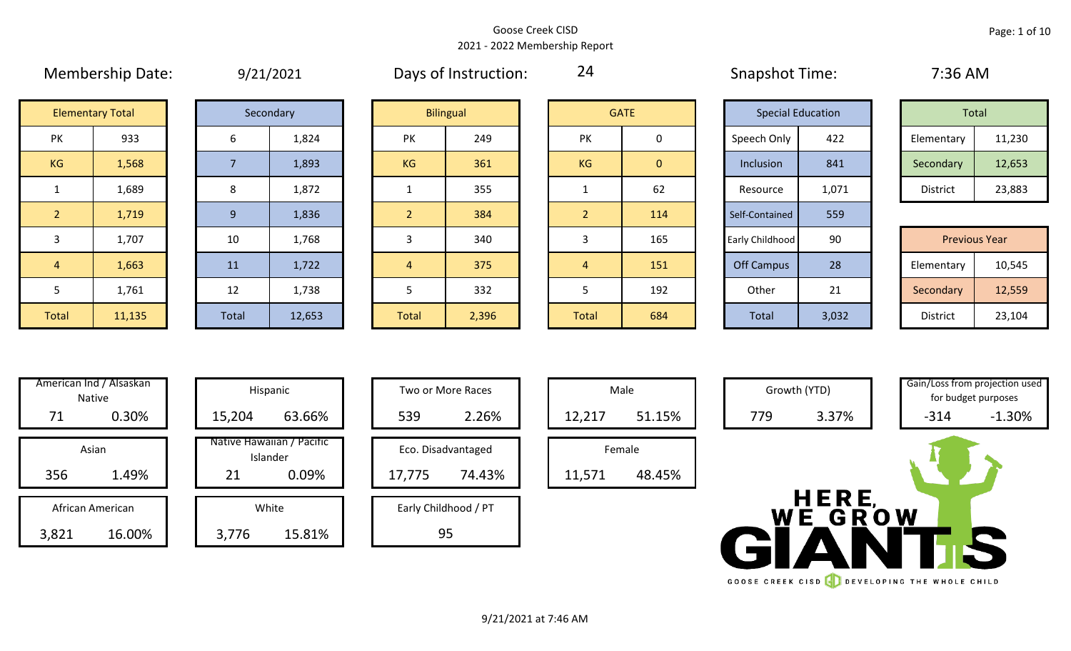#### Goose Creek CISD 2021 - 2022 Membership Report

|                |                         |                | $-7$ $-7$ $-7$ $-7$ |           | <u>, , , , , , , , , , , , , , , , , ,</u> |                |                |                   |                          | . . <b>. .</b>       |        |
|----------------|-------------------------|----------------|---------------------|-----------|--------------------------------------------|----------------|----------------|-------------------|--------------------------|----------------------|--------|
|                | <b>Elementary Total</b> |                | Secondary           |           | <b>Bilingual</b>                           |                | <b>GATE</b>    |                   | <b>Special Education</b> | Total                |        |
| PK             | 933                     | 6              | 1,824               | PK        | 249                                        | <b>PK</b>      | 0              | Speech Only       | 422                      | Elementary           | 11,230 |
| KG             | 1,568                   |                | 1,893               | <b>KG</b> | 361                                        | KG             | $\overline{0}$ | Inclusion         | 841                      | Secondary            | 12,653 |
|                | 1,689                   | 8              | 1,872               |           | 355                                        |                | 62             | Resource          | 1,071                    | District             | 23,883 |
| $\overline{2}$ | 1,719                   | 9 <sup>°</sup> | 1,836               |           | 384                                        | 2 <sup>1</sup> | 114            | Self-Contained    | 559                      |                      |        |
| 3              | 1,707                   | 10             | 1,768               |           | 340                                        | 3              | 165            | Early Childhood   | 90                       | <b>Previous Year</b> |        |
| $\overline{4}$ | 1,663                   | 11             | 1,722               | 4         | 375                                        | 4              | 151            | <b>Off Campus</b> | 28                       | Elementary           | 10,545 |
| 5              | 1,761                   | 12             | 1,738               |           | 332                                        | 5              | 192            | Other             | 21                       | Secondary            | 12,559 |
| Total          | 11,135                  | Total          | 12,653              | Total     | 2,396                                      | Total          | 684            | Total             | 3,032                    | District             | 23,104 |

| 9/21/2021 |
|-----------|
|-----------|

Membership Date:  $9/21/2021$  Days of Instruction:  $24$  Snapshot Time: 7:36 AM

24

|             | <b>Special Education</b> |                 | Total  |
|-------------|--------------------------|-----------------|--------|
| Speech Only | 422                      | Elementary      | 11,230 |
| Inclusion   | 841                      | Secondary       | 12,653 |
| Resource    | 1,071                    | <b>District</b> | 23,883 |

|             | 1,707  | 10           | 1,768  |       | 340   |              | 165 | Early Childhood | 90    | <b>Previous Year</b> |        |
|-------------|--------|--------------|--------|-------|-------|--------------|-----|-----------------|-------|----------------------|--------|
|             | 1,663  | 11           | 1,722  |       | 375   |              | 151 | Off Campus      | 28    | Elementary           | 10,545 |
|             | 1,761  | 12           | 1,738  |       | 332   |              | 192 | Other           | 21    | Secondary            | 12,559 |
| <b>otal</b> | 11,135 | <b>Total</b> | 12,653 | Total | 2,396 | <b>Total</b> | 684 | Total           | 3,032 | District             | 23,104 |

| Hispani                   | American Ind / Alsaskan<br>Native |       |
|---------------------------|-----------------------------------|-------|
| 15,204                    | 0.30%                             | 71    |
| Native Hawaiia<br>Islande | Asian                             |       |
| 21                        | 1.49%                             | 356   |
| White                     | African American                  |       |
| 3,776                     | 16.00%                            | 3,821 |

|       | American Ind / Alsaskan<br><b>Native</b> |  |        | Hispanic                              |        | Two or More Races    |        | Male   |
|-------|------------------------------------------|--|--------|---------------------------------------|--------|----------------------|--------|--------|
| 71    | 0.30%                                    |  | 15,204 | 63.66%                                | 539    | 2.26%                | 12,217 | 51.15% |
|       | Asian                                    |  |        | Native Hawaiian / Pacific<br>Islander |        | Eco. Disadvantaged   |        | Female |
| 356   | 1.49%                                    |  | 21     | 0.09%                                 | 17,775 | 74.43%               | 11,571 | 48.45% |
|       | African American                         |  |        | White                                 |        | Early Childhood / PT |        |        |
| 3,821 | 16.00%                                   |  | 3,776  | 15.81%                                |        | 95                   |        |        |

| Hispanic           |        | Two or More Races    |
|--------------------|--------|----------------------|
| 63.66%             | 539    | 2.26%                |
| lawaiian / Pacific |        |                      |
| Islander           |        | Eco. Disadvantaged   |
| 0.09%              | 17,775 | 74.43%               |
|                    |        |                      |
| White              |        | Early Childhood / PT |
| 15.81%             |        |                      |





GOOSE CREEK CISD **CONSERVANCE THE WHOLE CHILD**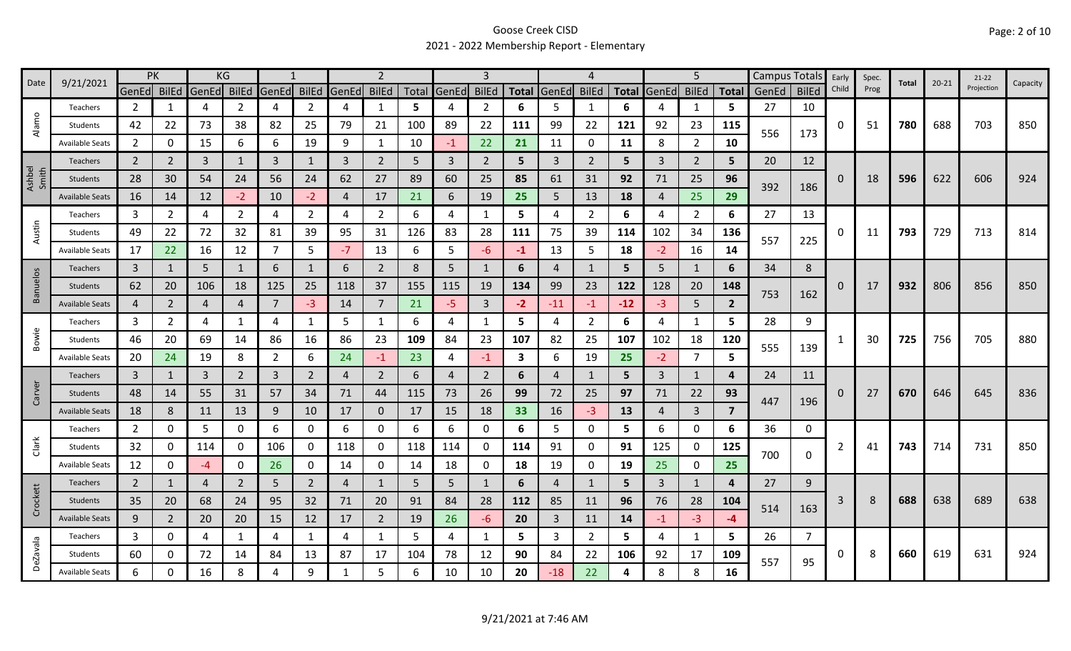### Goose Creek CISD 2021 - 2022 Membership Report - Elementary

| Date            | 9/21/2021              | PK             |                |       | KG             |                |                |       |                |       |                |                |              |                | 4              |       |       | 5              |                | Campus Totals |              | Early    | Spec. | Total | $20 - 21$ | $21-22$    | Capacity |
|-----------------|------------------------|----------------|----------------|-------|----------------|----------------|----------------|-------|----------------|-------|----------------|----------------|--------------|----------------|----------------|-------|-------|----------------|----------------|---------------|--------------|----------|-------|-------|-----------|------------|----------|
|                 |                        | GenEd          | <b>BilEd</b>   | GenEd | <b>BilEd</b>   | GenEd BilEd    |                | GenEd | <b>BilEd</b>   | Total | GenEd          | <b>BilEd</b>   | <b>Total</b> | GenEd          | <b>BilEd</b>   | Total | GenEd | <b>BilEd</b>   | <b>Total</b>   | GenEd         | <b>BilEd</b> | Child    | Prog  |       |           | Projection |          |
| $\circ$         | Teachers               | 2              | 1              | 4     | $\mathcal{P}$  | Δ              | $\overline{2}$ | Δ     | 1              | 5     | 4              | $\overline{2}$ | 6            | 5              | -1             | 6     | 4     | 1              | 5              | 27            | 10           |          |       |       |           |            |          |
| Alam            | Students               | 42             | 22             | 73    | 38             | 82             | 25             | 79    | 21             | 100   | 89             | 22             | 111          | 99             | 22             | 121   | 92    | 23             | 115            | 556           | 173          | 0        | 51    | 780   | 688       | 703        | 850      |
|                 | <b>Available Seats</b> | $\overline{2}$ | 0              | 15    | 6              | 6              | 19             | 9     | 1              | 10    | $-1$           | 22             | 21           | 11             | 0              | 11    | 8     | $\overline{2}$ | 10             |               |              |          |       |       |           |            |          |
|                 | <b>Teachers</b>        | $\overline{2}$ | 2              | 3     | 1              | 3              | $\mathbf{1}$   | 3     | $\overline{2}$ | 5     | 3              | $\overline{2}$ | 5            | 3              | $\overline{2}$ | 5     | 3     | $\overline{2}$ | 5              | 20            | 12           |          |       |       |           |            |          |
| Ashbel<br>Smith | Students               | 28             | 30             | 54    | 24             | 56             | 24             | 62    | 27             | 89    | 60             | 25             | 85           | 61             | 31             | 92    | 71    | 25             | 96             | 392           |              | $\Omega$ | 18    | 596   | 622       | 606        | 924      |
|                 | <b>Available Seats</b> | 16             | 14             | 12    | $-2$           | 10             | $-2$           | 4     | 17             | 21    | 6              | 19             | 25           | 5              | 13             | 18    | 4     | 25             | 29             |               | 186          |          |       |       |           |            |          |
|                 | Teachers               | 3              | 2              | 4     | $\overline{2}$ | 4              | $\overline{2}$ | 4     | $\overline{2}$ | 6     | 4              | 1              | 5            | 4              | 2              | 6     | 4     | 2              | 6              | 27            | 13           |          |       |       |           |            |          |
| Austin          | Students               | 49             | 22             | 72    | 32             | 81             | 39             | 95    | 31             | 126   | 83             | 28             | 111          | 75             | 39             | 114   | 102   | 34             | 136            | 557           |              | 0        | 11    | 793   | 729       | 713        | 814      |
|                 | <b>Available Seats</b> | 17             | 22             | 16    | 12             | $\overline{7}$ | 5              | $-7$  | 13             | 6     | 5              | -6             | $-1$         | 13             | 5              | 18    | $-2$  | 16             | 14             |               | 225          |          |       |       |           |            |          |
|                 | Teachers               | $\overline{3}$ | 1              | 5     | 1              | 6              | 1              | 6     | $\overline{2}$ | 8     | 5              | 1              | 6            | 4              | 1              | 5     | 5     | 1              | 6              | 34            | 8            |          |       |       |           |            |          |
| Banuelos        | Students               | 62             | 20             | 106   | 18             | 125            | 25             | 118   | 37             | 155   | 115            | 19             | 134          | 99             | 23             | 122   | 128   | 20             | 148            |               |              | 0        | 17    | 932   | 806       | 856        | 850      |
|                 | <b>Available Seats</b> | 4              | $\overline{2}$ | 4     | 4              | 7              | $-3$           | 14    | 7              | 21    | -5             | 3              | $-2$         | -11            | $-1$           | $-12$ | -3    | 5              | $\overline{2}$ | 753           | 162          |          |       |       |           |            |          |
|                 | Teachers               | 3              | $\overline{2}$ | 4     |                | 4              | $\mathbf{1}$   | 5     | $\mathbf{1}$   | 6     | 4              |                | 5            | 4              | $\overline{2}$ | 6     | 4     | $\mathbf{1}$   | 5              | 28            | 9            |          |       |       |           |            |          |
| Bowie           | Students               | 46             | 20             | 69    | 14             | 86             | 16             | 86    | 23             | 109   | 84             | 23             | 107          | 82             | 25             | 107   | 102   | 18             | 120            |               |              |          | 30    | 725   | 756       | 705        | 880      |
|                 | <b>Available Seats</b> | 20             | 24             | 19    | 8              | $\overline{2}$ | 6              | 24    | $-1$           | 23    | 4              | -1             | 3            | 6              | 19             | 25    | $-2$  | $\overline{7}$ | 5              | 555           | 139          |          |       |       |           |            |          |
|                 | Teachers               | $\overline{3}$ | $\mathbf{1}$   | 3     | $\overline{2}$ | 3              | $\overline{2}$ | 4     | $\overline{2}$ | 6     | $\overline{a}$ | $\overline{2}$ | 6            | $\overline{4}$ | $\overline{1}$ | 5     | 3     | 1              | 4              | 24            | 11           |          |       |       |           |            |          |
| Carver          | Students               | 48             | 14             | 55    | 31             | 57             | 34             | 71    | 44             | 115   | 73             | 26             | 99           | 72             | 25             | 97    | 71    | 22             | 93             |               |              | $\Omega$ | 27    | 670   | 646       | 645        | 836      |
|                 | <b>Available Seats</b> | 18             | 8              | 11    | 13             | 9              | 10             | 17    | $\mathbf{0}$   | 17    | 15             | 18             | 33           | 16             | $-3$           | 13    | 4     | $\overline{3}$ | 7              | 447           | 196          |          |       |       |           |            |          |
|                 | Teachers               | 2              | 0              | 5     | 0              | 6              | 0              | 6     | 0              | 6     | 6              | 0              | 6            | 5              | 0              | 5.    | 6     | 0              | 6              | 36            | 0            |          |       |       |           |            |          |
| Clark           | Students               | 32             | 0              | 114   | 0              | 106            | 0              | 118   | 0              | 118   | 114            | 0              | 114          | 91             | 0              | 91    | 125   | 0              | 125            |               |              | 2        | 41    | 743   | 714       | 731        | 850      |
|                 | <b>Available Seats</b> | 12             | 0              | $-4$  | 0              | 26             | 0              | 14    | $\mathbf 0$    | 14    | 18             | 0              | 18           | 19             | 0              | 19    | 25    | 0              | 25             | 700           | 0            |          |       |       |           |            |          |
|                 | Teachers               | $\overline{2}$ | 1              | 4     | 2              | 5              | $\overline{2}$ | 4     | $\mathbf{1}$   | 5     | 5              | 1              | 6            | 4              | $\mathbf{1}$   | 5.    | 3     | $\mathbf{1}$   | 4              | 27            | 9            |          |       |       |           |            |          |
| Crockett        | Students               | 35             | 20             | 68    | 24             | 95             | 32             | 71    | 20             | 91    | 84             | 28             | 112          | 85             | 11             | 96    | 76    | 28             | 104            |               |              | 3        | 8     | 688   | 638       | 689        | 638      |
|                 | <b>Available Seats</b> | 9              | 2              | 20    | 20             | 15             | 12             | 17    | $\overline{2}$ | 19    | 26             | -6             | 20           | 3              | 11             | 14    | $-1$  | $-3$           | -4             | 514           | 163          |          |       |       |           |            |          |
|                 | Teachers               | 3              | 0              | 4     | 1              | 4              | $\mathbf{1}$   | 4     | 1              | 5     | 4              | 1              | 5            | $\overline{3}$ | $\overline{2}$ | 5.    | 4     | $\mathbf{1}$   | 5              | 26            | 7            |          |       |       |           |            |          |
| <b>DeZavala</b> | Students               | 60             | 0              | 72    | 14             | 84             | 13             | 87    | 17             | 104   | 78             | 12             | 90           | 84             | 22             | 106   | 92    | 17             | 109            |               |              | 0        | 8     | 660   | 619       | 631        | 924      |
|                 | <b>Available Seats</b> | 6              |                | 16    | 8              | 4              | 9              | 1     | 5              | 6     | 10             | 10             | 20           | $-18$          | 22             | 4     | 8     | 8              | 16             | 557           | 95           |          |       |       |           |            |          |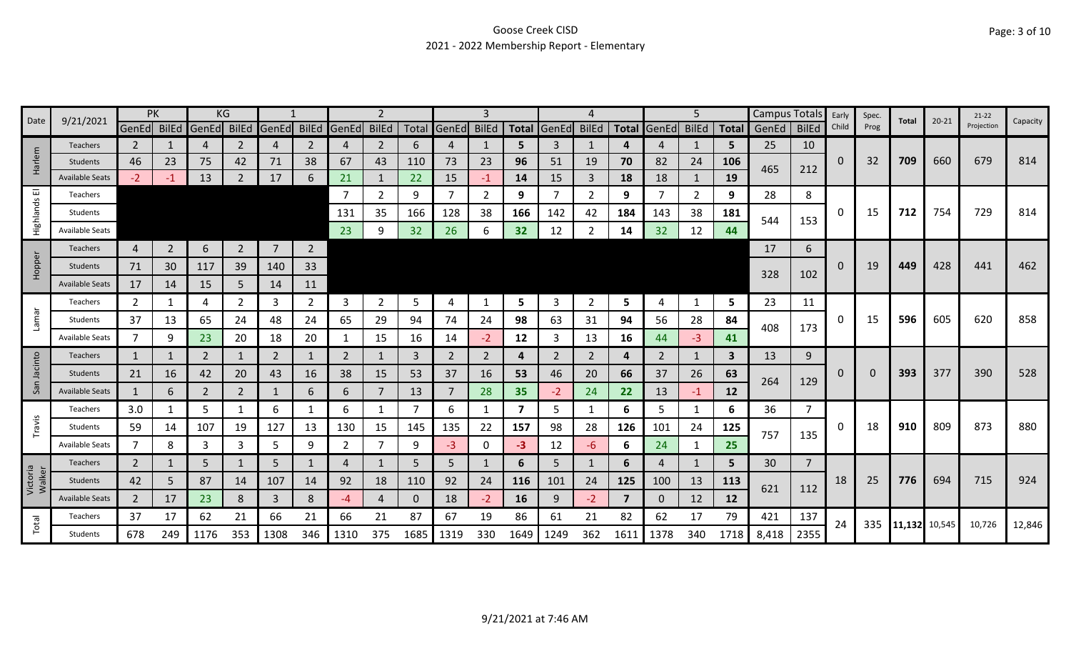### Goose Creek CISD 2021 - 2022 Membership Report - Elementary

|                    |                        |                | PK             | KG             |                |                |                |                |                |              |                   | З              |                         |       |                |                |                | 5            |              | Campus Totals |                | Early        | Spec. |               | $20 - 21$ | $21-22$    |          |
|--------------------|------------------------|----------------|----------------|----------------|----------------|----------------|----------------|----------------|----------------|--------------|-------------------|----------------|-------------------------|-------|----------------|----------------|----------------|--------------|--------------|---------------|----------------|--------------|-------|---------------|-----------|------------|----------|
| Date               | 9/21/2021              | GenEd BilEd    |                | GenEd          | <b>BilEd</b>   | GenEd BilEd    |                | GenEd BilEd    |                |              | Total GenEd BilEd |                | <b>Total</b>            | GenEd | <b>BilEd</b>   | <b>Total</b>   | GenEd          | <b>BilEd</b> |              | Total GenEd   | <b>BilEd</b>   | Child        | Prog  | Total         |           | Projection | Capacity |
|                    | <b>Teachers</b>        | $\overline{2}$ |                | 4              | 2              | 4              | $\mathbf{2}$   | 4              | $\overline{2}$ | 6            | 4                 |                | 5                       | 3     | 1              | 4              | 4              | 1            | 5            | 25            | 10             |              |       |               |           |            |          |
| Harlem             | Students               | 46             | 23             | 75             | 42             | 71             | 38             | 67             | 43             | 110          | 73                | 23             | 96                      | 51    | 19             | 70             | 82             | 24           | 106          | 465           | 212            | $\mathbf{0}$ | 32    | 709           | 660       | 679        | 814      |
|                    | <b>Available Seats</b> | $-2$           |                | 13             |                | 17             | 6              | 21             |                | 22           | 15                | $-1$           | 14                      | 15    | $\overline{3}$ | 18             | 18             | 1            | 19           |               |                |              |       |               |           |            |          |
| 画                  | Teachers               |                |                |                |                |                |                |                | $\overline{2}$ | 9            | $\overline{7}$    | $\overline{2}$ | 9                       |       | 2              | 9              |                | 2            | 9            | 28            | 8              |              |       |               |           |            |          |
| Highlands          | Students               |                |                |                |                |                |                | 131            | 35             | 166          | 128               | 38             | 166                     | 142   | 42             | 184            | 143            | 38           | 181          | 544           | 153            | 0            | 15    | 712           | 754       | 729        | 814      |
|                    | <b>Available Seats</b> |                |                |                |                |                |                | 23             | 9              | 32           | 26                | 6              | 32                      | 12    | 2              | 14             | 32             | 12           | 44           |               |                |              |       |               |           |            |          |
|                    | Teachers               | $\overline{4}$ | $\overline{2}$ | 6              | $\overline{2}$ | $\overline{7}$ | $2^{\circ}$    |                |                |              |                   |                |                         |       |                |                |                |              |              | 17            | 6              |              |       |               |           |            |          |
| Hopper             | Students               | 71             | 30             | 117            | 39             | 140            | 33             |                |                |              |                   |                |                         |       |                |                |                |              |              | 328           |                | $\Omega$     | 19    | 449           | 428       | 441        | 462      |
|                    | <b>Available Seats</b> | 17             | 14             | 15             | 5              | 14             | 11             |                |                |              |                   |                |                         |       |                |                |                |              |              |               | 102            |              |       |               |           |            |          |
|                    | Teachers               | $\overline{2}$ | 1              | 4              | $\mathbf{2}$   | 3              | $\overline{2}$ | 3              | $\overline{2}$ | 5            | 4                 | -1             | 5                       | 3     | $\overline{2}$ | 5              | 4              | $\mathbf{1}$ | 5            | 23            | 11             |              |       |               |           |            |          |
| Lamar              | Students               | 37             | 13             | 65             | 24             | 48             | 24             | 65             | 29             | 94           | 74                | 24             | 98                      | 63    | 31             | 94             | 56             | 28           | 84           |               |                | 0            | 15    | 596           | 605       | 620        | 858      |
|                    | Available Seats        | 7              | 9              | 23             | 20             | 18             | 20             | 1              | 15             | 16           | 14                | $-2$           | 12                      | 3     | 13             | 16             | 44             | $-3$         | 41           | 408           | 173            |              |       |               |           |            |          |
|                    | <b>Teachers</b>        | $\mathbf{1}$   |                | $\overline{2}$ |                | 2              | 1              | 2              | 1              | 3            | $\overline{2}$    | 2              | 4                       | 2     | 2              | 4              | $\overline{2}$ | 1            | $\mathbf{3}$ | 13            | 9              |              |       |               |           |            |          |
| Jacinto            | Students               | 21             | 16             | 42             | 20             | 43             | 16             | 38             | 15             | 53           | 37                | 16             | 53                      | 46    | 20             | 66             | 37             | 26           | 63           |               |                | $\Omega$     | 0     | 393           | 377       | 390        | 528      |
| San                | <b>Available Seats</b> | $\mathbf{1}$   | 6              | $\overline{2}$ | $\overline{2}$ | 1              | 6              | 6              | $\overline{7}$ | 13           | $\overline{7}$    | 28             | 35                      | $-2$  | 24             | 22             | 13             | $-1$         | 12           | 264           | 129            |              |       |               |           |            |          |
|                    | Teachers               | 3.0            |                | 5              |                | 6              |                | 6              | 1              |              | 6                 |                | $\overline{\mathbf{z}}$ | 5     | 1              | 6              | 5              | 1            | 6            | 36            | 7              |              |       |               |           |            |          |
| Travis             | Students               | 59             | 14             | 107            | 19             | 127            | 13             | 130            | 15             | 145          | 135               | 22             | 157                     | 98    | 28             | 126            | 101            | 24           | 125          |               |                | 0            | 18    | 910           | 809       | 873        | 880      |
|                    | <b>Available Seats</b> | 7              | 8              | 3              | 3              | 5              | 9              | $\overline{2}$ | $\overline{7}$ | 9            | $-3$              | 0              | $-3$                    | 12    | -6             | 6              | 24             | 1            | 25           | 757           | 135            |              |       |               |           |            |          |
|                    | Teachers               | $\overline{2}$ |                | 5              |                | 5              |                | 4              |                | 5            | 5                 |                | 6                       | 5     | 1              | 6              | 4              | 1            | 5            | 30            | $\overline{7}$ |              |       |               |           |            |          |
| Victoria<br>Walker | Students               | 42             | 5              | 87             | 14             | 107            | 14             | 92             | 18             | 110          | 92                | 24             | 116                     | 101   | 24             | 125            | 100            | 13           | 113          |               |                | 18           | 25    | 776           | 694       | 715        | 924      |
|                    | <b>Available Seats</b> | $\overline{2}$ | 17             | 23             | 8              | 3              | 8              | -4             | 4              | $\mathbf{0}$ | 18                | $-2$           | 16                      | 9     | $-2$           | $\overline{7}$ | 0              | 12           | 12           | 621           | 112            |              |       |               |           |            |          |
|                    | Teachers               | 37             | 17             | 62             | 21             | 66             | 21             | 66             | 21             | 87           | 67                | 19             | 86                      | 61    | 21             | 82             | 62             | 17           | 79           | 421           | 137            |              |       |               |           |            |          |
| Total              | Students               | 678            | 249            | 1176           | 353            | 1308           | 346            | 1310           | 375            | 1685         | 1319              | 330            | 1649                    | 1249  | 362            | 1611           | 1378           | 340          | 1718         | 8,418         | 2355           | 24           | 335   | 11,132 10,545 |           | 10,726     | 12,846   |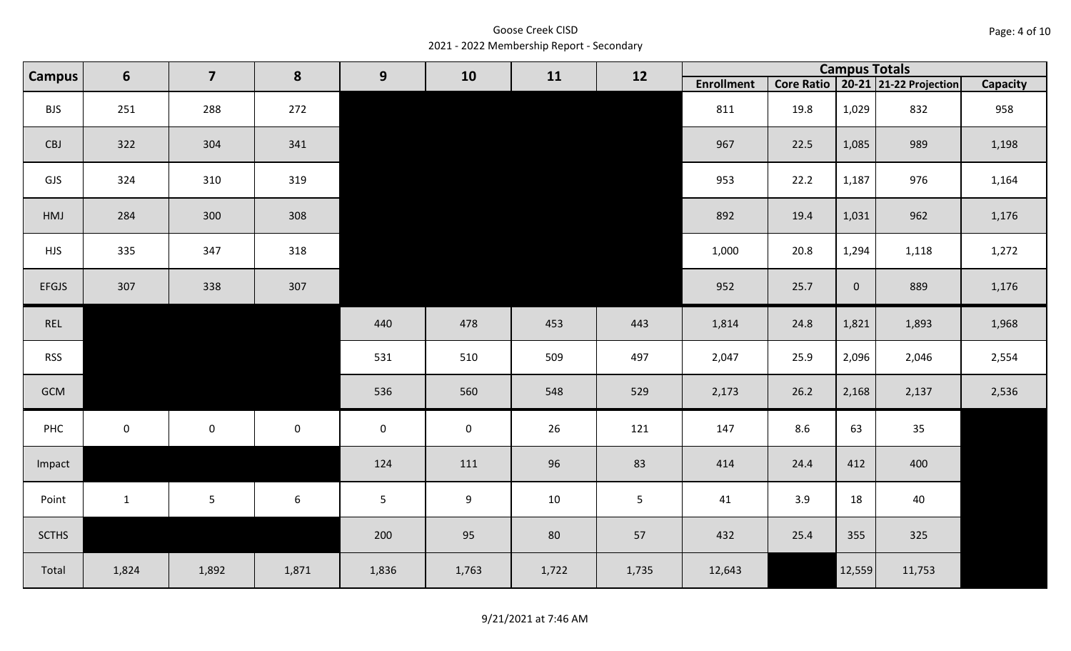Goose Creek CISD 2021 - 2022 Membership Report - Secondary

| <b>Campus</b> | $6\phantom{1}6$ | $\overline{\mathbf{z}}$ | 8                | 9           | 10               | 11    | 12    |                   |      | <b>Campus Totals</b> |                                       |                 |
|---------------|-----------------|-------------------------|------------------|-------------|------------------|-------|-------|-------------------|------|----------------------|---------------------------------------|-----------------|
|               |                 |                         |                  |             |                  |       |       | <b>Enrollment</b> |      |                      | Core Ratio   20-21   21-22 Projection | <b>Capacity</b> |
| <b>BJS</b>    | 251             | 288                     | 272              |             |                  |       |       | 811               | 19.8 | 1,029                | 832                                   | 958             |
| CBJ           | 322             | 304                     | 341              |             |                  |       |       | 967               | 22.5 | 1,085                | 989                                   | 1,198           |
| GJS           | 324             | 310                     | 319              |             |                  |       |       | 953               | 22.2 | 1,187                | 976                                   | 1,164           |
| HMJ           | 284             | 300                     | 308              |             |                  |       |       | 892               | 19.4 | 1,031                | 962                                   | 1,176           |
| <b>HJS</b>    | 335             | 347                     | 318              |             |                  |       |       | 1,000             | 20.8 | 1,294                | 1,118                                 | 1,272           |
| <b>EFGJS</b>  | 307             | 338                     | 307              |             |                  |       |       | 952               | 25.7 | $\overline{0}$       | 889                                   | 1,176           |
| REL           |                 |                         |                  | 440         | 478              | 453   | 443   | 1,814             | 24.8 | 1,821                | 1,893                                 | 1,968           |
| <b>RSS</b>    |                 |                         |                  | 531         | 510              | 509   | 497   | 2,047             | 25.9 | 2,096                | 2,046                                 | 2,554           |
| GCM           |                 |                         |                  | 536         | 560              | 548   | 529   | 2,173             | 26.2 | 2,168                | 2,137                                 | 2,536           |
| PHC           | $\pmb{0}$       | $\mathbf 0$             | $\pmb{0}$        | $\mathbf 0$ | $\mathbf 0$      | 26    | 121   | 147               | 8.6  | 63                   | 35                                    |                 |
| Impact        |                 |                         |                  | 124         | 111              | 96    | 83    | 414               | 24.4 | 412                  | 400                                   |                 |
| Point         | $\mathbf{1}$    | $5\phantom{.}$          | $\boldsymbol{6}$ | $\sqrt{5}$  | $\boldsymbol{9}$ | 10    | 5     | 41                | 3.9  | 18                   | 40                                    |                 |
| <b>SCTHS</b>  |                 |                         |                  | 200         | 95               | 80    | 57    | 432               | 25.4 | 355                  | 325                                   |                 |
| Total         | 1,824           | 1,892                   | 1,871            | 1,836       | 1,763            | 1,722 | 1,735 | 12,643            |      | 12,559               | 11,753                                |                 |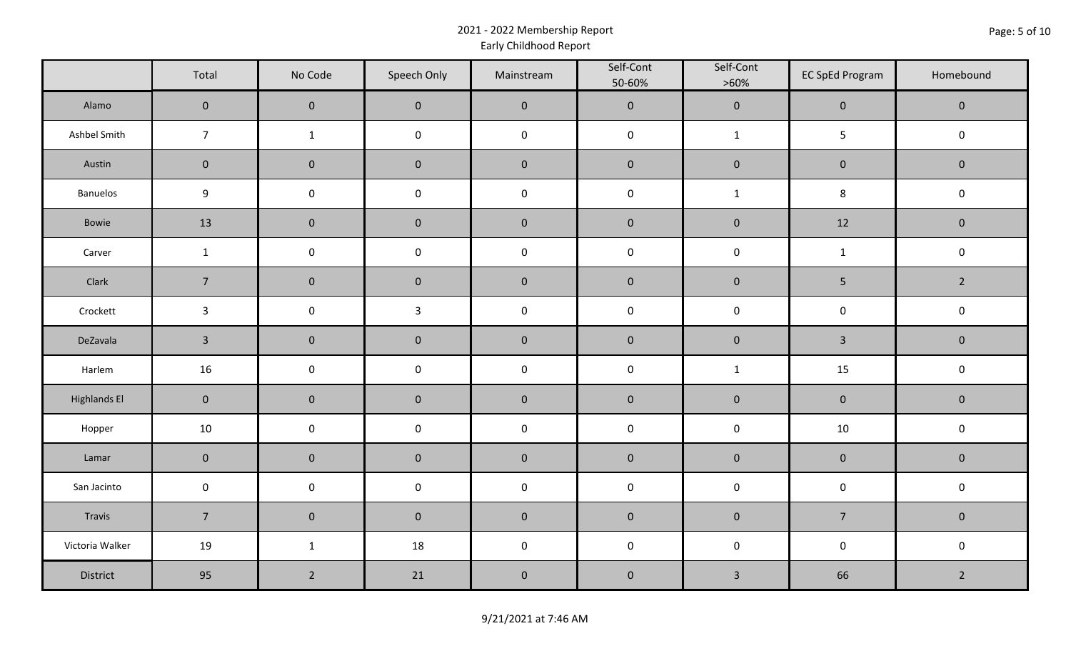### 2021 - 2022 Membership Report Early Childhood Report

|                     | Total          | No Code             | Speech Only         | Mainstream  | Self-Cont<br>50-60% | Self-Cont<br>$>60\%$ | <b>EC SpEd Program</b> | Homebound      |
|---------------------|----------------|---------------------|---------------------|-------------|---------------------|----------------------|------------------------|----------------|
| Alamo               | $\pmb{0}$      | $\pmb{0}$           | $\mathbf 0$         | $\mathbf 0$ | $\mathbf{0}$        | $\mathbf 0$          | $\mathbf 0$            | $\overline{0}$ |
| Ashbel Smith        | $\overline{7}$ | $\mathbf{1}$        | $\mathbf 0$         | $\mathbf 0$ | $\mathsf{O}\xspace$ | $\mathbf{1}$         | $5\phantom{.0}$        | $\mathsf 0$    |
| Austin              | $\pmb{0}$      | $\pmb{0}$           | $\pmb{0}$           | $\pmb{0}$   | $\pmb{0}$           | $\mathbf 0$          | $\mathsf{O}\xspace$    | $\mathbf 0$    |
| Banuelos            | 9              | $\pmb{0}$           | $\pmb{0}$           | $\pmb{0}$   | $\pmb{0}$           | $\mathbf{1}$         | $\,8\,$                | $\mathbf 0$    |
| Bowie               | 13             | $\pmb{0}$           | $\pmb{0}$           | $\mathbf 0$ | $\mathbf 0$         | $\mathbf 0$          | 12                     | $\mathbf 0$    |
| Carver              | $\mathbf{1}$   | $\mathsf{O}\xspace$ | $\mathsf{O}\xspace$ | $\mathbf 0$ | $\pmb{0}$           | $\mathbf 0$          | $\mathbf{1}$           | $\mathsf 0$    |
| Clark               | $\overline{7}$ | $\pmb{0}$           | $\pmb{0}$           | $\pmb{0}$   | $\mathbf 0$         | $\mathbf 0$          | $\overline{5}$         | $\overline{2}$ |
| Crockett            | $\mathbf{3}$   | $\pmb{0}$           | $\mathbf{3}$        | $\mathsf 0$ | $\pmb{0}$           | $\mathbf 0$          | $\mathsf 0$            | $\mathbf 0$    |
| DeZavala            | $\mathbf{3}$   | $\pmb{0}$           | $\mathbf 0$         | $\mathbf 0$ | $\pmb{0}$           | $\mathbf 0$          | $\overline{3}$         | $\overline{0}$ |
| Harlem              | 16             | $\pmb{0}$           | $\pmb{0}$           | $\mathbf 0$ | $\pmb{0}$           | $\mathbf{1}$         | 15                     | $\mathbf 0$    |
| <b>Highlands El</b> | $\pmb{0}$      | $\pmb{0}$           | $\pmb{0}$           | $\pmb{0}$   | $\mathbf 0$         | $\mathbf 0$          | $\mathbf 0$            | $\mathbf 0$    |
| Hopper              | 10             | $\pmb{0}$           | $\mathbf 0$         | $\pmb{0}$   | $\pmb{0}$           | $\pmb{0}$            | 10                     | $\mathbf 0$    |
| Lamar               | $\pmb{0}$      | $\pmb{0}$           | $\pmb{0}$           | $\mathbf 0$ | $\mathbf 0$         | $\mathbf 0$          | $\mathbf 0$            | $\mathbf 0$    |
| San Jacinto         | $\pmb{0}$      | $\pmb{0}$           | $\pmb{0}$           | $\mathbf 0$ | $\mathsf{O}\xspace$ | $\mathbf 0$          | $\mathbf 0$            | $\mathsf 0$    |
| Travis              | $\overline{7}$ | $\pmb{0}$           | $\pmb{0}$           | $\pmb{0}$   | $\pmb{0}$           | $\mathbf 0$          | $\overline{7}$         | $\mathbf 0$    |
| Victoria Walker     | 19             | $\mathbf{1}$        | 18                  | $\mathbf 0$ | $\mathbf 0$         | $\mathsf 0$          | $\mathsf 0$            | $\mathbf 0$    |
| District            | 95             | $\overline{2}$      | 21                  | $\pmb{0}$   | $\pmb{0}$           | $\mathbf{3}$         | 66                     | $\overline{2}$ |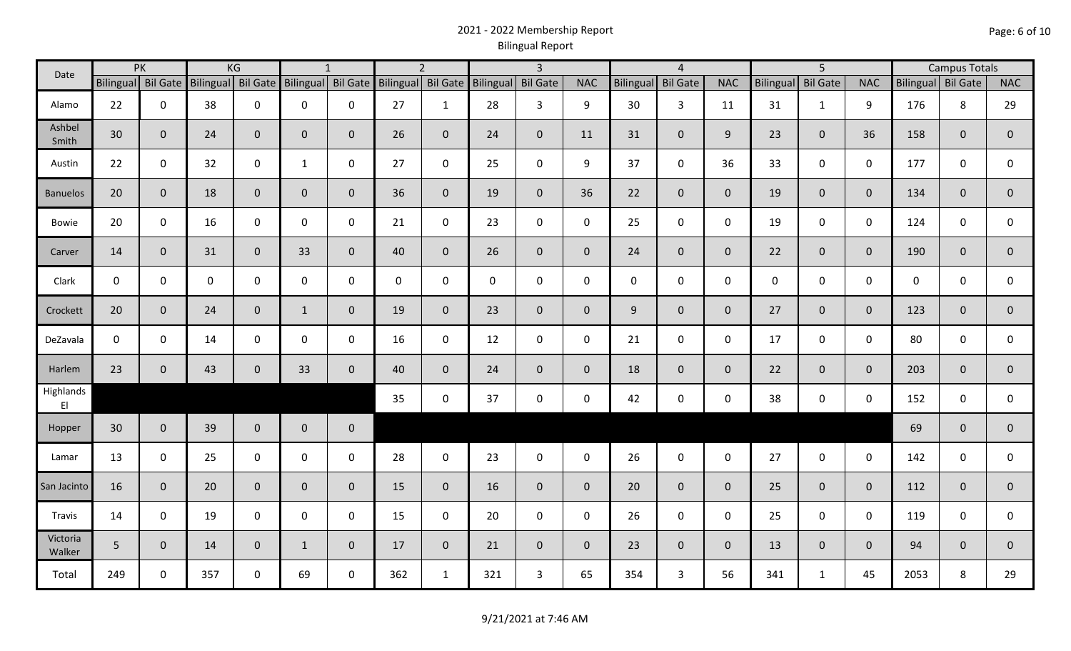## 2021 - 2022 Membership Report Bilingual Report

| Date               | KG<br>PK<br>Bilingual Bil Gate |              |             |                    | $\mathbf{1}$       |              | $\overline{2}$     |                | $\overline{3}$     |                |              | $\overline{4}$ |                 |                | 5 <sup>5</sup>   |                 |                | <b>Campus Totals</b> |                |                |
|--------------------|--------------------------------|--------------|-------------|--------------------|--------------------|--------------|--------------------|----------------|--------------------|----------------|--------------|----------------|-----------------|----------------|------------------|-----------------|----------------|----------------------|----------------|----------------|
|                    |                                |              |             | Bilingual Bil Gate | Bilingual Bil Gate |              | Bilingual Bil Gate |                | Bilingual Bil Gate |                | <b>NAC</b>   | Bilingual      | <b>Bil Gate</b> | <b>NAC</b>     | <b>Bilingual</b> | <b>Bil Gate</b> | <b>NAC</b>     | Bilingual Bil Gate   |                | <b>NAC</b>     |
| Alamo              | 22                             | $\mathbf 0$  | 38          | $\mathbf 0$        | 0                  | 0            | 27                 | $\mathbf{1}$   | 28                 | 3              | 9            | 30             | $\mathbf{3}$    | 11             | 31               | $\mathbf{1}$    | 9              | 176                  | 8              | 29             |
| Ashbel<br>Smith    | 30                             | $\mathbf{0}$ | 24          | $\overline{0}$     | $\mathbf 0$        | $\mathbf 0$  | 26                 | $\overline{0}$ | 24                 | $\mathbf 0$    | 11           | 31             | $\mathbf 0$     | 9              | 23               | $\mathbf{0}$    | 36             | 158                  | $\mathbf{0}$   | $\mathbf 0$    |
| Austin             | 22                             | $\mathbf 0$  | 32          | $\mathsf 0$        | $\mathbf{1}$       | $\mathbf 0$  | 27                 | $\mathbf 0$    | 25                 | $\mathbf 0$    | 9            | 37             | $\mathbf 0$     | 36             | 33               | $\mathbf 0$     | $\mathbf 0$    | 177                  | $\mathbf 0$    | 0              |
| <b>Banuelos</b>    | 20                             | $\mathbf 0$  | 18          | $\mathbf 0$        | $\mathbf{0}$       | $\mathbf{0}$ | 36                 | $\overline{0}$ | 19                 | $\mathbf 0$    | 36           | 22             | $\overline{0}$  | $\overline{0}$ | 19               | $\overline{0}$  | $\mathbf{0}$   | 134                  | $\mathbf{0}$   | $\mathbf 0$    |
| Bowie              | 20                             | $\mathbf 0$  | 16          | $\mathbf 0$        | 0                  | 0            | 21                 | $\mathbf 0$    | 23                 | $\mathbf 0$    | $\mathbf 0$  | 25             | $\mathbf 0$     | $\mathbf 0$    | 19               | $\mathbf 0$     | $\mathbf 0$    | 124                  | $\mathbf 0$    | 0              |
| Carver             | 14                             | $\mathbf 0$  | 31          | $\overline{0}$     | 33                 | $\mathbf{0}$ | 40                 | $\overline{0}$ | 26                 | $\mathbf 0$    | $\mathbf 0$  | 24             | $\overline{0}$  | $\overline{0}$ | 22               | $\overline{0}$  | $\overline{0}$ | 190                  | $\overline{0}$ | $\mathbf 0$    |
| Clark              | $\mathbf 0$                    | $\mathbf 0$  | $\mathbf 0$ | $\mathsf 0$        | 0                  | $\mathbf{0}$ | $\mathbf{0}$       | $\mathbf{0}$   | $\boldsymbol{0}$   | $\mathbf 0$    | $\mathbf 0$  | $\mathbf{0}$   | $\mathsf 0$     | $\mathbf 0$    | $\mathbf 0$      | $\mathbf 0$     | $\mathbf 0$    | $\mathbf 0$          | $\mathbf 0$    | 0              |
| Crockett           | 20                             | $\mathbf{0}$ | 24          | $\mathbf 0$        | $\mathbf{1}$       | $\mathbf{0}$ | 19                 | $\overline{0}$ | 23                 | $\mathbf 0$    | $\mathbf{0}$ | 9              | $\overline{0}$  | $\overline{0}$ | 27               | $\Omega$        | $\overline{0}$ | 123                  | $\mathbf{0}$   | $\mathbf{0}$   |
| DeZavala           | $\mathbf 0$                    | $\mathbf 0$  | 14          | $\mathbf 0$        | 0                  | $\mathbf 0$  | 16                 | $\mathbf 0$    | 12                 | $\mathbf 0$    | $\mathbf 0$  | 21             | $\mathbf 0$     | $\mathbf 0$    | 17               | $\mathbf 0$     | $\mathbf 0$    | 80                   | 0              | $\mathbf 0$    |
| Harlem             | 23                             | $\mathbf{0}$ | 43          | $\mathbf 0$        | 33                 | $\mathbf{0}$ | 40                 | $\overline{0}$ | 24                 | $\mathbf 0$    | $\mathbf 0$  | 18             | $\overline{0}$  | $\overline{0}$ | 22               | $\mathbf{0}$    | $\overline{0}$ | 203                  | $\mathbf 0$    | $\mathbf{0}$   |
| Highlands<br>EI    |                                |              |             |                    |                    |              | 35                 | $\mathbf 0$    | 37                 | $\mathbf 0$    | $\mathbf 0$  | 42             | $\mathbf 0$     | $\mathbf 0$    | 38               | $\mathbf 0$     | $\mathbf 0$    | 152                  | $\mathbf 0$    | 0              |
| Hopper             | 30 <sup>°</sup>                | $\mathbf 0$  | 39          | $\overline{0}$     | $\overline{0}$     | $\mathbf 0$  |                    |                |                    |                |              |                |                 |                |                  |                 |                | 69                   | $\mathbf 0$    | $\overline{0}$ |
| Lamar              | 13                             | $\mathbf 0$  | 25          | $\mathbf 0$        | $\mathbf 0$        | $\mathbf 0$  | 28                 | $\mathbf 0$    | 23                 | $\mathbf 0$    | $\mathbf 0$  | 26             | $\mathbf 0$     | $\mathbf 0$    | 27               | $\mathbf 0$     | $\mathbf 0$    | 142                  | $\mathbf 0$    | 0              |
| San Jacinto        | 16                             | $\mathbf{0}$ | 20          | $\overline{0}$     | $\mathbf{0}$       | $\mathbf{0}$ | 15                 | $\overline{0}$ | 16                 | $\overline{0}$ | $\mathbf{0}$ | 20             | $\overline{0}$  | $\overline{0}$ | 25               | $\overline{0}$  | $\overline{0}$ | 112                  | $\mathbf 0$    | $\mathbf 0$    |
| Travis             | 14                             | $\mathbf 0$  | 19          | $\mathbf 0$        | $\mathbf 0$        | $\mathbf 0$  | 15                 | $\mathbf 0$    | 20                 | $\mathbf 0$    | $\mathbf 0$  | 26             | $\mathbf 0$     | $\mathbf 0$    | 25               | $\mathbf 0$     | $\mathbf 0$    | 119                  | $\mathbf 0$    | 0              |
| Victoria<br>Walker | 5 <sup>5</sup>                 | $\mathbf 0$  | 14          | $\mathbf{0}$       | $\mathbf{1}$       | $\mathbf 0$  | 17                 | $\overline{0}$ | 21                 | $\mathbf 0$    | $\mathbf{0}$ | 23             | $\overline{0}$  | $\overline{0}$ | 13               | $\mathbf{0}$    | $\overline{0}$ | 94                   | $\mathbf{0}$   | $\mathbf{0}$   |
| Total              | 249                            | $\mathbf 0$  | 357         | $\mathbf 0$        | 69                 | $\mathbf 0$  | 362                | $\mathbf{1}$   | 321                | 3              | 65           | 354            | $\mathbf{3}$    | 56             | 341              | $\mathbf{1}$    | 45             | 2053                 | 8              | 29             |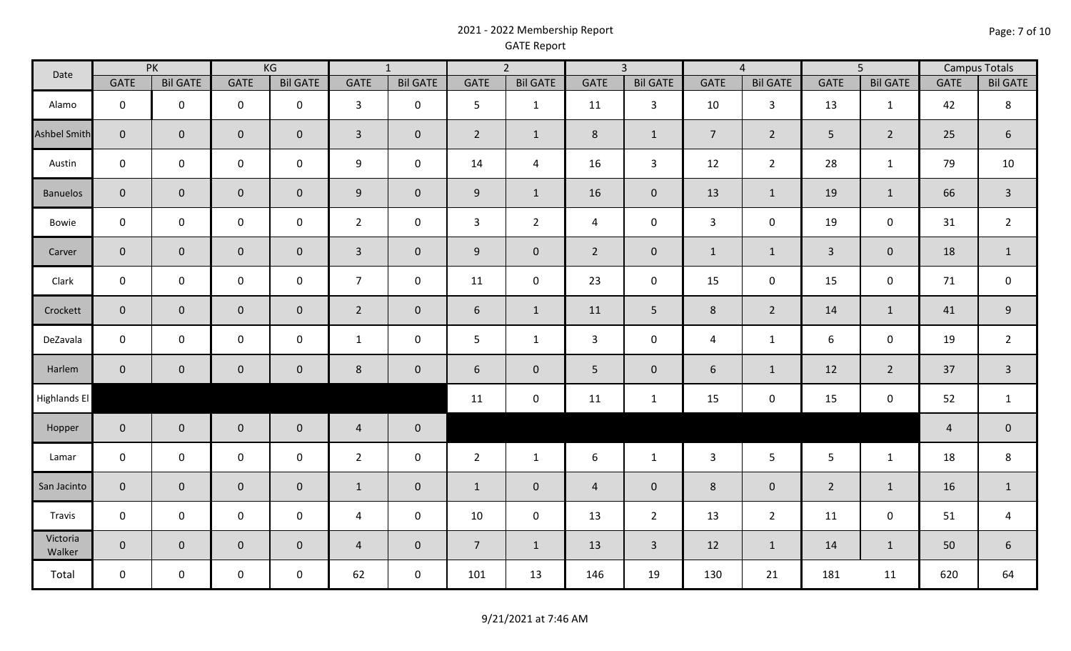### 2021 - 2022 Membership Report GATE Report

| Date                | <b>PK</b>      |                 | KG             |                 | $\overline{1}$ |                 | $\overline{2}$ |                     | $\overline{3}$ |                 | $\overline{4}$ |                 | $\overline{5}$ |                 | <b>Campus Totals</b> |                  |
|---------------------|----------------|-----------------|----------------|-----------------|----------------|-----------------|----------------|---------------------|----------------|-----------------|----------------|-----------------|----------------|-----------------|----------------------|------------------|
|                     | <b>GATE</b>    | <b>Bil GATE</b> | <b>GATE</b>    | <b>Bil GATE</b> | <b>GATE</b>    | <b>Bil GATE</b> | <b>GATE</b>    | <b>Bil GATE</b>     | <b>GATE</b>    | <b>Bil GATE</b> | <b>GATE</b>    | <b>Bil GATE</b> | <b>GATE</b>    | <b>Bil GATE</b> | <b>GATE</b>          | <b>Bil GATE</b>  |
| Alamo               | $\mathbf 0$    | $\mathbf 0$     | $\mathbf 0$    | $\mathbf 0$     | $\mathbf{3}$   | $\mathbf 0$     | 5              | $\mathbf{1}$        | 11             | $\mathbf{3}$    | 10             | $\mathbf{3}$    | 13             | $\mathbf{1}$    | 42                   | 8                |
| <b>Ashbel Smith</b> | $\overline{0}$ | $\mathbf{0}$    | $\mathbf 0$    | $\overline{0}$  | $\mathbf{3}$   | $\mathbf 0$     | $\overline{2}$ | $\mathbf{1}$        | 8              | $\mathbf{1}$    | $\overline{7}$ | $2^{\circ}$     | 5              | $\overline{2}$  | 25                   | $6\phantom{1}$   |
| Austin              | $\mathbf 0$    | $\mathbf 0$     | $\mathbf 0$    | $\mathbf 0$     | 9              | $\mathbf 0$     | 14             | $\overline{4}$      | 16             | $\mathbf{3}$    | 12             | $\overline{2}$  | 28             | $\mathbf{1}$    | 79                   | 10               |
| <b>Banuelos</b>     | $\mathbf{0}$   | $\mathbf 0$     | $\overline{0}$ | $\overline{0}$  | 9              | $\mathbf 0$     | 9              | $\mathbf{1}$        | 16             | $\mathbf 0$     | 13             | $\mathbf{1}$    | 19             | $1\,$           | 66                   | $\mathbf{3}$     |
| Bowie               | $\mathbf 0$    | $\mathbf 0$     | $\mathbf 0$    | $\mathbf 0$     | $\overline{2}$ | $\mathbf 0$     | $\mathbf{3}$   | $2^{\circ}$         | 4              | $\mathbf 0$     | $\mathbf{3}$   | $\mathbf 0$     | 19             | $\pmb{0}$       | 31                   | $\overline{2}$   |
| Carver              | $\overline{0}$ | $\mathbf 0$     | $\mathbf{0}$   | $\overline{0}$  | $\mathbf{3}$   | $\mathbf 0$     | 9              | $\mathsf{O}\xspace$ | $\overline{2}$ | $\mathbf 0$     | $\mathbf{1}$   | $\mathbf{1}$    | $\overline{3}$ | $\mathbf 0$     | 18                   | $\mathbf{1}$     |
| Clark               | $\mathbf 0$    | $\mathbf 0$     | $\mathbf 0$    | $\mathbf 0$     | $\overline{7}$ | $\mathbf 0$     | 11             | $\pmb{0}$           | 23             | $\mathbf 0$     | 15             | $\mathbf 0$     | 15             | $\pmb{0}$       | 71                   | $\pmb{0}$        |
| Crockett            | $\mathbf{0}$   | $\overline{0}$  | $\mathbf{0}$   | $\overline{0}$  | $\overline{2}$ | $\mathbf 0$     | 6              | $\mathbf{1}$        | 11             | $5\phantom{.}$  | 8              | $2^{\circ}$     | 14             | $1\,$           | 41                   | $\boldsymbol{9}$ |
| DeZavala            | $\mathbf 0$    | $\mathbf 0$     | $\mathbf 0$    | $\mathbf 0$     | $\mathbf{1}$   | $\mathsf 0$     | 5              | $\mathbf{1}$        | 3              | $\mathbf 0$     | $\overline{4}$ | $\mathbf{1}$    | 6              | $\pmb{0}$       | 19                   | $\overline{2}$   |
| Harlem              | $\mathbf 0$    | $\mathbf 0$     | $\mathbf 0$    | $\overline{0}$  | $\,8\,$        | $\mathbf 0$     | 6              | $\mathbf 0$         | 5              | $\mathbf 0$     | 6              | $\mathbf{1}$    | 12             | $\overline{2}$  | 37                   | $\overline{3}$   |
| <b>Highlands El</b> |                |                 |                |                 |                |                 | 11             | $\mathsf{O}\xspace$ | 11             | $\mathbf{1}$    | 15             | $\mathbf 0$     | 15             | $\pmb{0}$       | 52                   | $\mathbf{1}$     |
| Hopper              | $\mathbf 0$    | $\mathbf{0}$    | $\mathbf 0$    | $\overline{0}$  | $\overline{4}$ | $\pmb{0}$       |                |                     |                |                 |                |                 |                |                 | $\overline{4}$       | $\overline{0}$   |
| Lamar               | $\mathbf 0$    | $\mathbf 0$     | $\mathbf 0$    | $\mathbf 0$     | $\overline{2}$ | $\mathsf 0$     | $\overline{2}$ | $\mathbf{1}$        | 6              | $\mathbf{1}$    | $\overline{3}$ | 5 <sup>5</sup>  | 5              | $\mathbf{1}$    | 18                   | 8                |
| San Jacinto         | $\overline{0}$ | $\mathbf{0}$    | $\overline{0}$ | $\overline{0}$  | $\mathbf{1}$   | $\mathbf 0$     | $\mathbf{1}$   | $\mathbf{0}$        | $\overline{4}$ | $\mathbf 0$     | 8              | $\overline{0}$  | $\overline{2}$ | $\mathbf{1}$    | 16                   | $\mathbf{1}$     |
| Travis              | $\mathbf 0$    | $\mathbf 0$     | $\mathbf 0$    | $\mathbf 0$     | $\overline{a}$ | $\mathbf 0$     | 10             | $\mathsf{O}\xspace$ | 13             | $\overline{2}$  | 13             | $2^{\circ}$     | 11             | $\pmb{0}$       | 51                   | $\overline{4}$   |
| Victoria<br>Walker  | $\overline{0}$ | $\mathbf 0$     | $\overline{0}$ | $\overline{0}$  | $\overline{4}$ | $\mathbf 0$     | $\overline{7}$ | $\mathbf{1}$        | 13             | $\mathbf{3}$    | 12             | $\mathbf{1}$    | 14             | $\mathbf{1}$    | 50                   | 6                |
| Total               | $\mathbf 0$    | $\mathbf 0$     | $\mathsf{O}$   | $\mathbf 0$     | 62             | $\mathsf 0$     | 101            | 13                  | 146            | 19              | 130            | 21              | 181            | 11              | 620                  | 64               |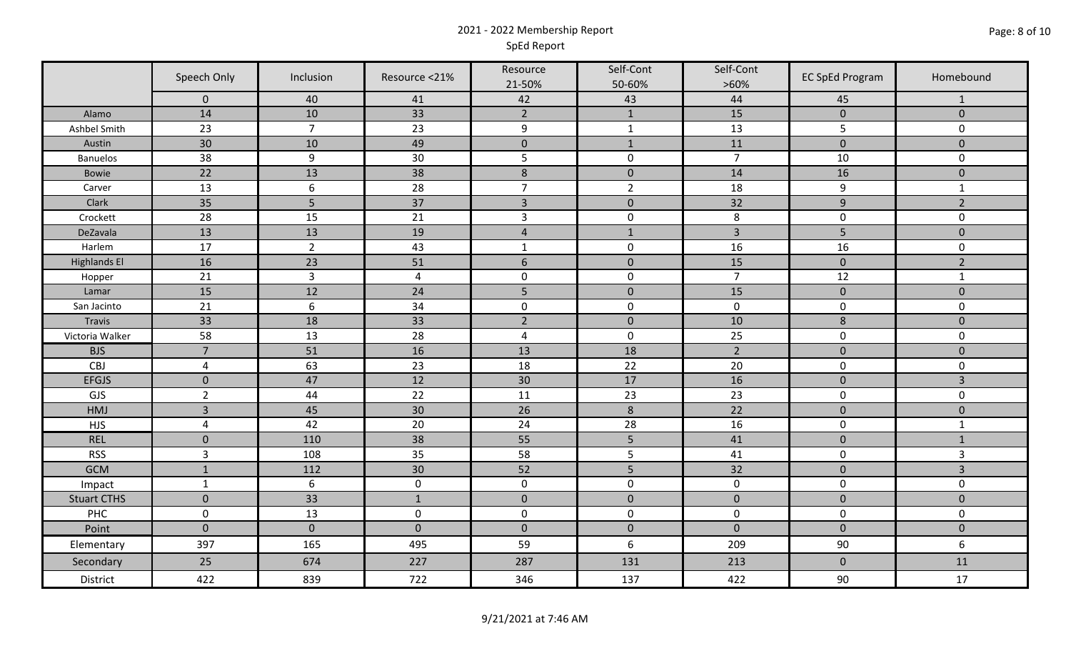### 2021 - 2022 Membership Report SpEd Report

|                     | Speech Only         | Inclusion        | Resource <21%  | Resource<br>21-50% | Self-Cont<br>50-60% | Self-Cont<br>$>60\%$ | <b>EC SpEd Program</b> | Homebound      |
|---------------------|---------------------|------------------|----------------|--------------------|---------------------|----------------------|------------------------|----------------|
|                     | $\mathbf 0$         | 40               | 41             | 42                 | 43                  | 44                   | 45                     | 1              |
| Alamo               | 14                  | 10               | 33             | $2^{\circ}$        | $\mathbf{1}$        | 15                   | $\pmb{0}$              | $\mathbf{0}$   |
| Ashbel Smith        | 23                  | $\overline{7}$   | 23             | $\boldsymbol{9}$   | $\mathbf{1}$        | 13                   | 5                      | $\mathsf{O}$   |
| Austin              | 30                  | 10               | 49             | $\pmb{0}$          | $1\,$               | 11                   | $\pmb{0}$              | $\pmb{0}$      |
| <b>Banuelos</b>     | 38                  | $\boldsymbol{9}$ | 30             | 5                  | $\pmb{0}$           | $\overline{7}$       | 10                     | $\mathbf 0$    |
| Bowie               | 22                  | 13               | 38             | $\,8\,$            | $\pmb{0}$           | 14                   | 16                     | $\pmb{0}$      |
| Carver              | 13                  | 6                | 28             | $\overline{7}$     | $\overline{2}$      | 18                   | 9                      | $\mathbf{1}$   |
| Clark               | 35                  | 5                | 37             | $\overline{3}$     | $\mathbf 0$         | 32                   | $\overline{9}$         | $\overline{2}$ |
| Crockett            | 28                  | 15               | 21             | $\overline{3}$     | $\pmb{0}$           | 8                    | $\pmb{0}$              | $\mathbf 0$    |
| DeZavala            | 13                  | 13               | 19             | $\sqrt{4}$         | $\mathbf 1$         | $\overline{3}$       | 5                      | $\pmb{0}$      |
| Harlem              | 17                  | $\overline{2}$   | 43             | $\mathbf{1}$       | $\pmb{0}$           | 16                   | 16                     | $\mathbf 0$    |
| <b>Highlands El</b> | 16                  | 23               | 51             | $\boldsymbol{6}$   | $\pmb{0}$           | 15                   | $\mathbf 0$            | $\overline{2}$ |
| Hopper              | 21                  | $\overline{3}$   | $\overline{4}$ | $\pmb{0}$          | $\pmb{0}$           | $\overline{7}$       | 12                     | $\mathbf{1}$   |
| Lamar               | 15                  | 12               | 24             | 5                  | $\pmb{0}$           | 15                   | $\pmb{0}$              | $\pmb{0}$      |
| San Jacinto         | 21                  | $\boldsymbol{6}$ | 34             | $\pmb{0}$          | $\pmb{0}$           | $\mathbf 0$          | $\pmb{0}$              | $\mathsf{O}$   |
| Travis              | 33                  | 18               | 33             | $\overline{2}$     | $\pmb{0}$           | 10                   | 8                      | $\pmb{0}$      |
| Victoria Walker     | 58                  | 13               | 28             | $\overline{a}$     | $\pmb{0}$           | 25                   | $\pmb{0}$              | 0              |
| <b>BJS</b>          | $\overline{7}$      | 51               | 16             | 13                 | 18                  | $\overline{2}$       | $\pmb{0}$              | $\pmb{0}$      |
| CBJ                 | $\overline{4}$      | 63               | 23             | 18                 | 22                  | 20                   | $\pmb{0}$              | $\pmb{0}$      |
| <b>EFGJS</b>        | $\mathbf 0$         | 47               | 12             | 30                 | 17                  | 16                   | $\mathbf 0$            | 3              |
| <b>GJS</b>          | $\overline{2}$      | 44               | 22             | 11                 | 23                  | $\overline{23}$      | $\pmb{0}$              | $\mathsf{O}$   |
| HMJ                 | $\overline{3}$      | 45               | 30             | 26                 | $\,8\,$             | $\overline{22}$      | $\pmb{0}$              | $\pmb{0}$      |
| <b>HJS</b>          | $\overline{4}$      | 42               | 20             | 24                 | 28                  | 16                   | $\pmb{0}$              | $\mathbf{1}$   |
| <b>REL</b>          | $\mathbf 0$         | 110              | 38             | 55                 | 5                   | 41                   | $\pmb{0}$              | $\mathbf{1}$   |
| <b>RSS</b>          | $\overline{3}$      | 108              | 35             | 58                 | 5                   | 41                   | $\mathbf 0$            | $\overline{3}$ |
| <b>GCM</b>          | $\mathbf 1$         | 112              | 30             | 52                 | 5                   | 32                   | $\mathbf 0$            | 3              |
| Impact              | $\mathbf{1}$        | $\boldsymbol{6}$ | $\pmb{0}$      | $\mathbf 0$        | $\pmb{0}$           | $\mathbf 0$          | $\mathbf 0$            | $\mathsf{O}$   |
| <b>Stuart CTHS</b>  | $\mathbf 0$         | 33               | $1\,$          | $\pmb{0}$          | $\pmb{0}$           | $\pmb{0}$            | $\pmb{0}$              | $\pmb{0}$      |
| PHC                 | $\mathsf{O}\xspace$ | 13               | $\pmb{0}$      | $\pmb{0}$          | $\pmb{0}$           | $\mathsf 0$          | $\mathbf 0$            | $\mathbf 0$    |
| Point               | $\mathbf{0}$        | $\mathbf{0}$     | $\mathbf{0}$   | $\mathbf 0$        | $\mathbf 0$         | $\overline{0}$       | $\mathbf 0$            | $\pmb{0}$      |
| Elementary          | 397                 | 165              | 495            | 59                 | $\boldsymbol{6}$    | 209                  | 90                     | 6              |
| Secondary           | 25                  | 674              | 227            | 287                | 131                 | 213                  | $\pmb{0}$              | 11             |
| District            | 422                 | 839              | 722            | 346                | 137                 | 422                  | 90                     | 17             |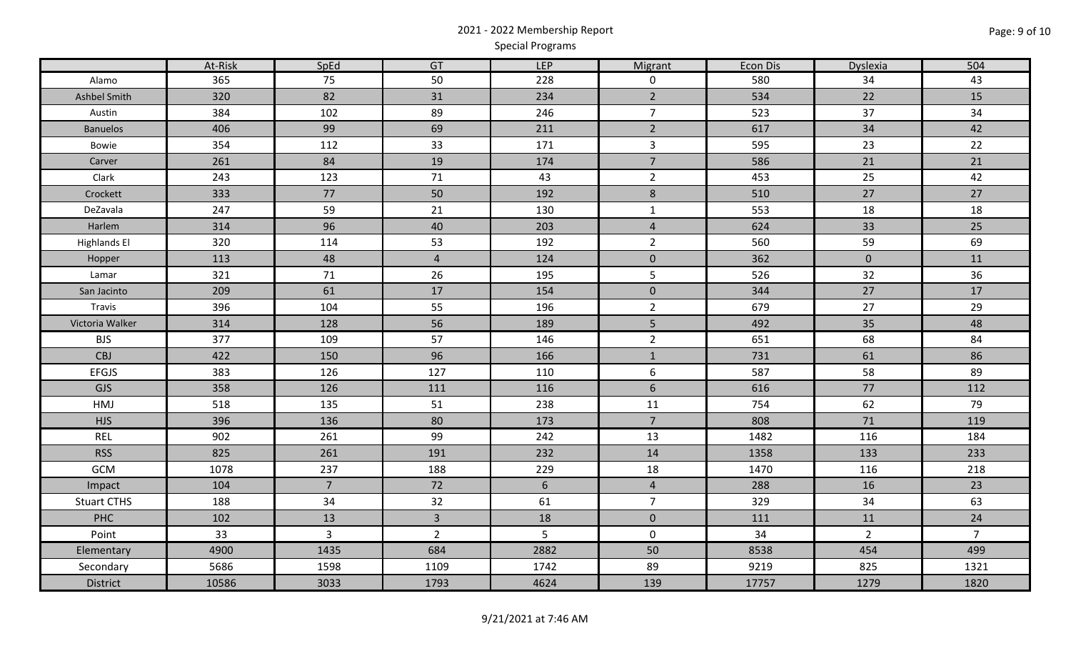# 2021 - 2022 Membership Report Special Programs

|                     | At-Risk | SpEd           | GT             | <b>LEP</b>      | Migrant             | Econ Dis | Dyslexia     | 504            |
|---------------------|---------|----------------|----------------|-----------------|---------------------|----------|--------------|----------------|
| Alamo               | 365     | 75             | 50             | 228             | $\mathsf{O}$        | 580      | 34           | 43             |
| Ashbel Smith        | 320     | 82             | 31             | 234             | $\overline{2}$      | 534      | 22           | 15             |
| Austin              | 384     | 102            | 89             | 246             | $\overline{7}$      | 523      | 37           | 34             |
| <b>Banuelos</b>     | 406     | 99             | 69             | 211             | $\overline{2}$      | 617      | 34           | 42             |
| Bowie               | 354     | 112            | 33             | 171             | $\mathbf{3}$        | 595      | 23           | 22             |
| Carver              | 261     | 84             | 19             | 174             | $\overline{7}$      | 586      | 21           | 21             |
| Clark               | 243     | 123            | 71             | 43              | $\overline{2}$      | 453      | 25           | 42             |
| Crockett            | 333     | $77\,$         | 50             | 192             | $\,8\,$             | 510      | 27           | 27             |
| DeZavala            | 247     | 59             | 21             | 130             | $\mathbf{1}$        | 553      | 18           | 18             |
| Harlem              | 314     | 96             | 40             | 203             | $\overline{4}$      | 624      | 33           | 25             |
| <b>Highlands El</b> | 320     | 114            | 53             | 192             | $\overline{2}$      | 560      | 59           | 69             |
| Hopper              | 113     | 48             | $\overline{4}$ | 124             | $\mathbf 0$         | 362      | $\mathbf{0}$ | 11             |
| Lamar               | 321     | 71             | 26             | 195             | $5\phantom{.}$      | 526      | 32           | 36             |
| San Jacinto         | 209     | 61             | $17$           | 154             | $\mathbf 0$         | 344      | 27           | 17             |
| Travis              | 396     | 104            | 55             | 196             | $\overline{2}$      | 679      | 27           | 29             |
| Victoria Walker     | 314     | 128            | 56             | 189             | $\overline{5}$      | 492      | 35           | 48             |
| <b>BJS</b>          | 377     | 109            | 57             | 146             | $\overline{2}$      | 651      | 68           | 84             |
| CBJ                 | 422     | 150            | 96             | 166             | $\mathbf{1}$        | 731      | 61           | 86             |
| EFGJS               | 383     | 126            | 127            | 110             | 6                   | 587      | 58           | 89             |
| GJS                 | 358     | 126            | 111            | 116             | $6\phantom{1}$      | 616      | 77           | 112            |
| HMJ                 | 518     | 135            | 51             | 238             | 11                  | 754      | 62           | 79             |
| <b>HJS</b>          | 396     | 136            | 80             | 173             | $\overline{7}$      | 808      | 71           | 119            |
| <b>REL</b>          | 902     | 261            | 99             | 242             | 13                  | 1482     | 116          | 184            |
| <b>RSS</b>          | 825     | 261            | 191            | 232             | 14                  | 1358     | 133          | 233            |
| GCM                 | 1078    | 237            | 188            | 229             | 18                  | 1470     | 116          | 218            |
| Impact              | 104     | $\overline{7}$ | 72             | $6\overline{6}$ | $\overline{4}$      | 288      | 16           | 23             |
| <b>Stuart CTHS</b>  | 188     | 34             | 32             | 61              | $\overline{7}$      | 329      | 34           | 63             |
| PHC                 | 102     | 13             | $\overline{3}$ | 18              | $\mathbf{0}$        | 111      | 11           | 24             |
| Point               | 33      | $\overline{3}$ | $\overline{2}$ | 5               | $\mathsf{O}\xspace$ | 34       | $2^{\circ}$  | $\overline{7}$ |
| Elementary          | 4900    | 1435           | 684            | 2882            | 50                  | 8538     | 454          | 499            |
| Secondary           | 5686    | 1598           | 1109           | 1742            | 89                  | 9219     | 825          | 1321           |
| District            | 10586   | 3033           | 1793           | 4624            | 139                 | 17757    | 1279         | 1820           |